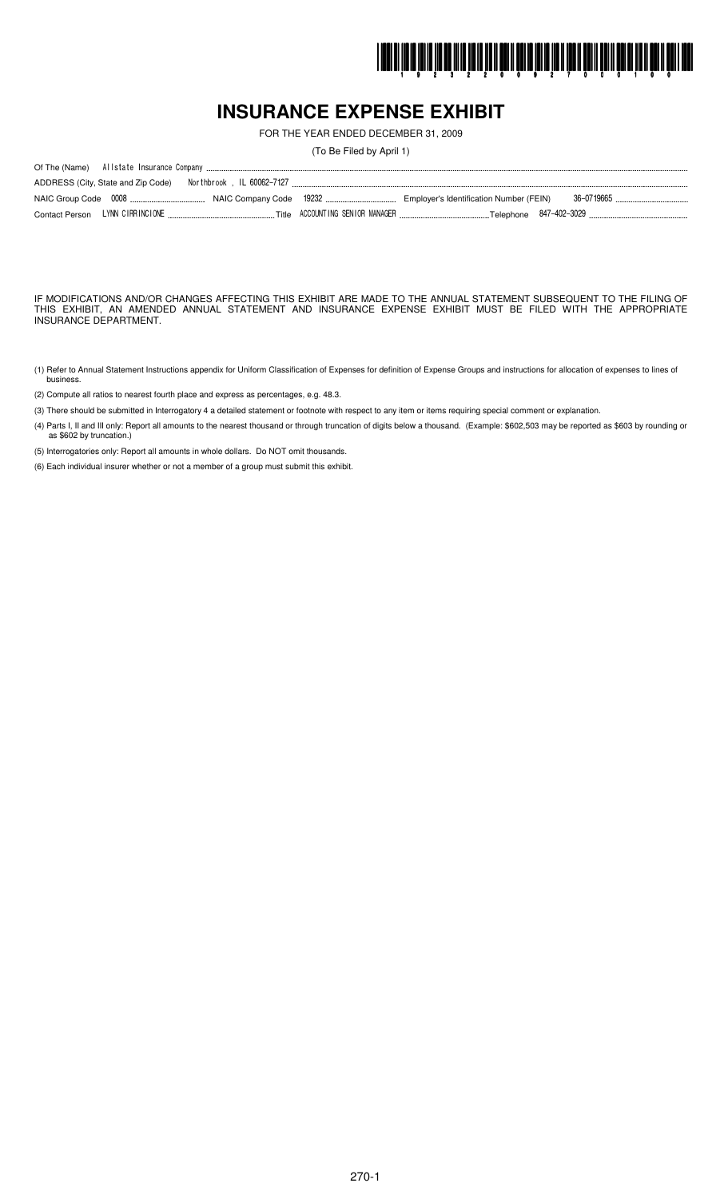

# **INSURANCE EXPENSE EXHIBIT**

FOR THE YEAR ENDED DECEMBER 31, 2009

(To Be Filed by April 1)

IF MODIFICATIONS AND/OR CHANGES AFFECTING THIS EXHIBIT ARE MADE TO THE ANNUAL STATEMENT SUBSEQUENT TO THE FILING OF THIS EXHIBIT, AN AMENDED ANNUAL STATEMENT AND INSURANCE EXPENSE EXHIBIT MUST BE FILED WITH THE APPROPRIATE INSURANCE DEPARTMENT.

- (1) Refer to Annual Statement Instructions appendix for Uniform Classification of Expenses for definition of Expense Groups and instructions for allocation of expenses to lines of busines.
- (2) Compute all ratios to nearest fourth place and express as percentages, e.g. 48.3.
- (3) There should be submitted in Interrogatory 4 a detailed statement or footnote with respect to any item or items requiring special comment or explanation.
- (4) Parts I, II and III only: Report all amounts to the nearest thousand or through truncation of digits below a thousand. (Example: \$602,503 may be reported as \$603 by rounding or as \$602 by truncation.)

(5) Interrogatories only: Report all amounts in whole dollars. Do NOT omit thousands.

(6) Each individual insurer whether or not a member of a group must submit this exhibit.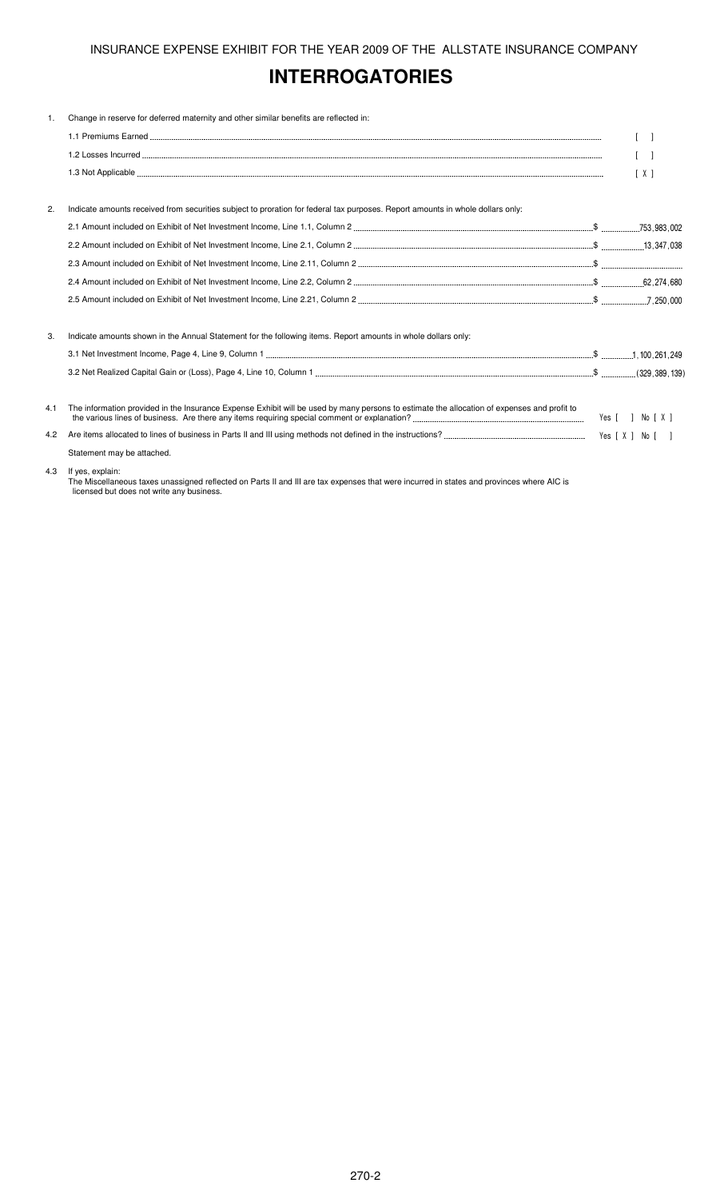# **INTERROGATORIES**

| 1.  | Change in reserve for deferred maternity and other similar benefits are reflected in:                                                       |                                   |
|-----|---------------------------------------------------------------------------------------------------------------------------------------------|-----------------------------------|
|     |                                                                                                                                             | $\begin{bmatrix} 1 \end{bmatrix}$ |
|     |                                                                                                                                             | $\lceil$                          |
|     |                                                                                                                                             | [X]                               |
|     |                                                                                                                                             |                                   |
| 2.  | Indicate amounts received from securities subject to proration for federal tax purposes. Report amounts in whole dollars only:              |                                   |
|     |                                                                                                                                             |                                   |
|     |                                                                                                                                             |                                   |
|     |                                                                                                                                             |                                   |
|     |                                                                                                                                             |                                   |
|     |                                                                                                                                             |                                   |
| 3.  | Indicate amounts shown in the Annual Statement for the following items. Report amounts in whole dollars only:                               |                                   |
|     |                                                                                                                                             |                                   |
|     |                                                                                                                                             |                                   |
| 4.1 | The information provided in the Insurance Expense Exhibit will be used by many persons to estimate the allocation of expenses and profit to |                                   |
| 4.2 |                                                                                                                                             |                                   |
|     | Statement may be attached.                                                                                                                  |                                   |
|     |                                                                                                                                             |                                   |

#### 4.3 If yes, explain:

The Miscellaneous taxes unassigned reflected on Parts II and III are tax expenses that were incurred in states and provinces where AIC is licensed but does not write any business.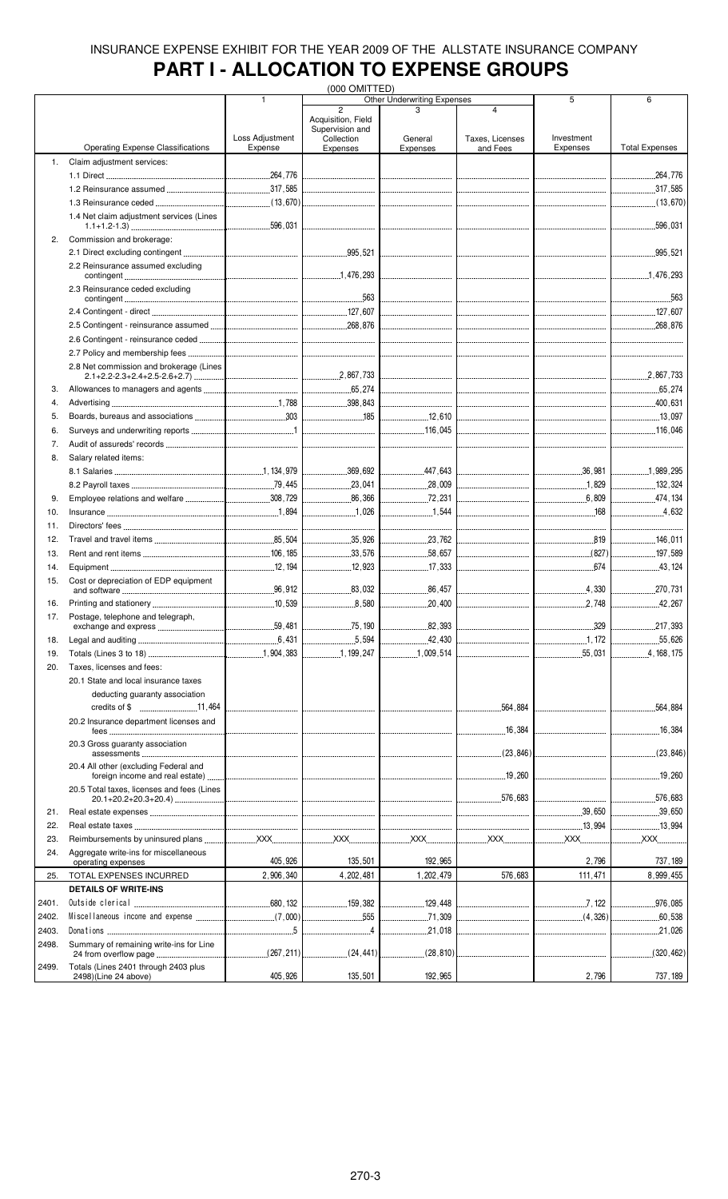# **PART I - ALLOCATION TO EXPENSE GROUPS**

|       |                                                                                                                                                                                                                                                                                                                                                                        |                 | (000 OMITTED)                                       |                                    |                                     |                                           |                       |
|-------|------------------------------------------------------------------------------------------------------------------------------------------------------------------------------------------------------------------------------------------------------------------------------------------------------------------------------------------------------------------------|-----------------|-----------------------------------------------------|------------------------------------|-------------------------------------|-------------------------------------------|-----------------------|
|       |                                                                                                                                                                                                                                                                                                                                                                        | 1               | $\overline{2}$                                      | <b>Other Underwriting Expenses</b> | $\overline{4}$                      | 5                                         | 6                     |
|       |                                                                                                                                                                                                                                                                                                                                                                        | Loss Adjustment | Acquisition, Field<br>Supervision and<br>Collection | General                            | Taxes, Licenses                     | Investment                                |                       |
|       | <b>Operating Expense Classifications</b>                                                                                                                                                                                                                                                                                                                               | Expense         | Expenses                                            | Expenses                           | and Fees                            | Expenses                                  | <b>Total Expenses</b> |
| 1.    | Claim adjustment services:                                                                                                                                                                                                                                                                                                                                             |                 |                                                     |                                    |                                     |                                           |                       |
|       |                                                                                                                                                                                                                                                                                                                                                                        |                 |                                                     |                                    |                                     |                                           | 264,776               |
|       |                                                                                                                                                                                                                                                                                                                                                                        |                 |                                                     |                                    |                                     |                                           | 317,585               |
|       |                                                                                                                                                                                                                                                                                                                                                                        |                 |                                                     |                                    |                                     |                                           |                       |
|       | 1.4 Net claim adjustment services (Lines                                                                                                                                                                                                                                                                                                                               |                 |                                                     |                                    |                                     |                                           | .596,031<br>.         |
| 2.    | Commission and brokerage:                                                                                                                                                                                                                                                                                                                                              |                 |                                                     |                                    |                                     |                                           |                       |
|       | 2.2 Reinsurance assumed excluding                                                                                                                                                                                                                                                                                                                                      |                 |                                                     |                                    |                                     |                                           |                       |
|       | 2.3 Reinsurance ceded excluding                                                                                                                                                                                                                                                                                                                                        |                 |                                                     |                                    |                                     |                                           | 563                   |
|       |                                                                                                                                                                                                                                                                                                                                                                        |                 | 127,607                                             |                                    |                                     |                                           |                       |
|       |                                                                                                                                                                                                                                                                                                                                                                        |                 |                                                     |                                    |                                     |                                           |                       |
|       |                                                                                                                                                                                                                                                                                                                                                                        |                 |                                                     |                                    |                                     |                                           |                       |
|       |                                                                                                                                                                                                                                                                                                                                                                        |                 |                                                     |                                    |                                     |                                           |                       |
|       | 2.8 Net commission and brokerage (Lines                                                                                                                                                                                                                                                                                                                                |                 |                                                     |                                    | the contract of the contract of the |                                           |                       |
| 3.    |                                                                                                                                                                                                                                                                                                                                                                        |                 |                                                     |                                    |                                     |                                           |                       |
| 4.    |                                                                                                                                                                                                                                                                                                                                                                        |                 |                                                     |                                    |                                     |                                           |                       |
| 5.    |                                                                                                                                                                                                                                                                                                                                                                        |                 |                                                     | 12,610                             |                                     |                                           |                       |
| 6.    |                                                                                                                                                                                                                                                                                                                                                                        |                 |                                                     |                                    |                                     |                                           |                       |
| 7.    |                                                                                                                                                                                                                                                                                                                                                                        |                 |                                                     |                                    |                                     |                                           |                       |
| 8.    | Salary related items:                                                                                                                                                                                                                                                                                                                                                  |                 |                                                     |                                    |                                     |                                           |                       |
|       |                                                                                                                                                                                                                                                                                                                                                                        |                 |                                                     | .447,643                           |                                     |                                           | 1.989.295             |
|       |                                                                                                                                                                                                                                                                                                                                                                        |                 | 23,041                                              | $\frac{1}{28,009}$                 |                                     |                                           | $\frac{132}{324}$     |
| 9.    |                                                                                                                                                                                                                                                                                                                                                                        |                 | 86,366                                              | $\frac{1}{2}$ , 231                |                                     |                                           | 474,134               |
| 10.   |                                                                                                                                                                                                                                                                                                                                                                        |                 | 1.026                                               | 1,544                              |                                     | $\frac{168}{168}$                         | 4.632                 |
| 11.   |                                                                                                                                                                                                                                                                                                                                                                        |                 |                                                     |                                    |                                     |                                           |                       |
| 12.   |                                                                                                                                                                                                                                                                                                                                                                        |                 | 35,926                                              | 23,762                             |                                     | 819                                       | 146,011               |
| 13.   |                                                                                                                                                                                                                                                                                                                                                                        |                 | 33,576                                              | 58,657                             |                                     | (827)                                     | 197,589               |
| 14.   |                                                                                                                                                                                                                                                                                                                                                                        |                 | 12,923                                              | 17,333                             |                                     |                                           | 43.124                |
| 15.   | Cost or depreciation of EDP equipment                                                                                                                                                                                                                                                                                                                                  |                 |                                                     |                                    |                                     |                                           |                       |
|       |                                                                                                                                                                                                                                                                                                                                                                        |                 | 83,032                                              |                                    |                                     | 4,330                                     |                       |
| 16.   |                                                                                                                                                                                                                                                                                                                                                                        |                 | 8,580                                               |                                    |                                     |                                           | 42,267                |
| 17.   | Postage, telephone and telegraph,                                                                                                                                                                                                                                                                                                                                      |                 |                                                     |                                    |                                     |                                           |                       |
|       |                                                                                                                                                                                                                                                                                                                                                                        |                 | 75.190                                              | 82,393                             |                                     | 329                                       | .217,393              |
| 18.   |                                                                                                                                                                                                                                                                                                                                                                        |                 |                                                     | .42,430<br>.                       | -------------------------------     |                                           | 55,626                |
| 19.   |                                                                                                                                                                                                                                                                                                                                                                        |                 | 1, 199, 247                                         | 1,009,514                          |                                     |                                           | 4, 168, 175           |
| 20.   | Taxes. licenses and fees:                                                                                                                                                                                                                                                                                                                                              |                 |                                                     |                                    |                                     |                                           |                       |
|       | 20.1 State and local insurance taxes                                                                                                                                                                                                                                                                                                                                   |                 |                                                     |                                    |                                     |                                           |                       |
|       | deducting guaranty association                                                                                                                                                                                                                                                                                                                                         |                 |                                                     |                                    |                                     |                                           |                       |
|       |                                                                                                                                                                                                                                                                                                                                                                        |                 |                                                     |                                    | .564,884                            | -------------------------------           | .564,884              |
|       | 20.2 Insurance department licenses and                                                                                                                                                                                                                                                                                                                                 |                 |                                                     |                                    | 16,384                              | <u> 1980 - Januar James Januar III. (</u> | .16,384               |
|       | 20.3 Gross quaranty association                                                                                                                                                                                                                                                                                                                                        |                 |                                                     |                                    |                                     |                                           |                       |
|       | 20.4 All other (excluding Federal and                                                                                                                                                                                                                                                                                                                                  |                 |                                                     |                                    |                                     |                                           | 19,260                |
|       | 20.5 Total taxes, licenses and fees (Lines                                                                                                                                                                                                                                                                                                                             |                 |                                                     |                                    |                                     |                                           | .576,683              |
| 21.   |                                                                                                                                                                                                                                                                                                                                                                        |                 |                                                     |                                    |                                     | 39,650                                    | 39,650                |
| 22.   |                                                                                                                                                                                                                                                                                                                                                                        |                 |                                                     |                                    |                                     | 13,994                                    |                       |
| 23.   |                                                                                                                                                                                                                                                                                                                                                                        |                 |                                                     |                                    |                                     |                                           | $$ XXX $$             |
| 24.   | Aggregate write-ins for miscellaneous                                                                                                                                                                                                                                                                                                                                  | 405,926         | 135,501                                             | 192,965                            |                                     | 2,796                                     | 737, 189              |
|       | operating expenses                                                                                                                                                                                                                                                                                                                                                     |                 |                                                     |                                    | 576,683                             |                                           |                       |
| 25.   | TOTAL EXPENSES INCURRED                                                                                                                                                                                                                                                                                                                                                | 2,906,340       | 4,202,481                                           | 1,202,479                          |                                     | 111,471                                   | 8,999,455             |
|       | <b>DETAILS OF WRITE-INS</b>                                                                                                                                                                                                                                                                                                                                            |                 |                                                     |                                    |                                     |                                           |                       |
| 2401. |                                                                                                                                                                                                                                                                                                                                                                        |                 | 159.382                                             |                                    |                                     |                                           | .976,085              |
| 2402. |                                                                                                                                                                                                                                                                                                                                                                        |                 | 555                                                 |                                    |                                     |                                           |                       |
| 2403. | $\begin{tabular}{l} \textbf{Dona t ions} \end{tabular} \begin{tabular}{l} \textbf{.0000} \textbf{.0100} \textbf{.0100} \textbf{.0200} \textbf{.0300} \textbf{.0400} \textbf{.0500} \textbf{.0600} \textbf{.0700} \textbf{.0800} \textbf{.0700} \textbf{.0800} \textbf{.0800} \textbf{.0800} \textbf{.0800} \textbf{.0800} \textbf{.0800} \textbf{.0800} \textbf{.0800$ |                 |                                                     | 21,018                             |                                     |                                           |                       |
| 2498. | Summary of remaining write-ins for Line                                                                                                                                                                                                                                                                                                                                |                 |                                                     |                                    |                                     |                                           |                       |
| 2499. | Totals (Lines 2401 through 2403 plus<br>2498)(Line 24 above)                                                                                                                                                                                                                                                                                                           | 405,926         | 135,501                                             | 192,965                            |                                     | 2,796                                     | 737, 189              |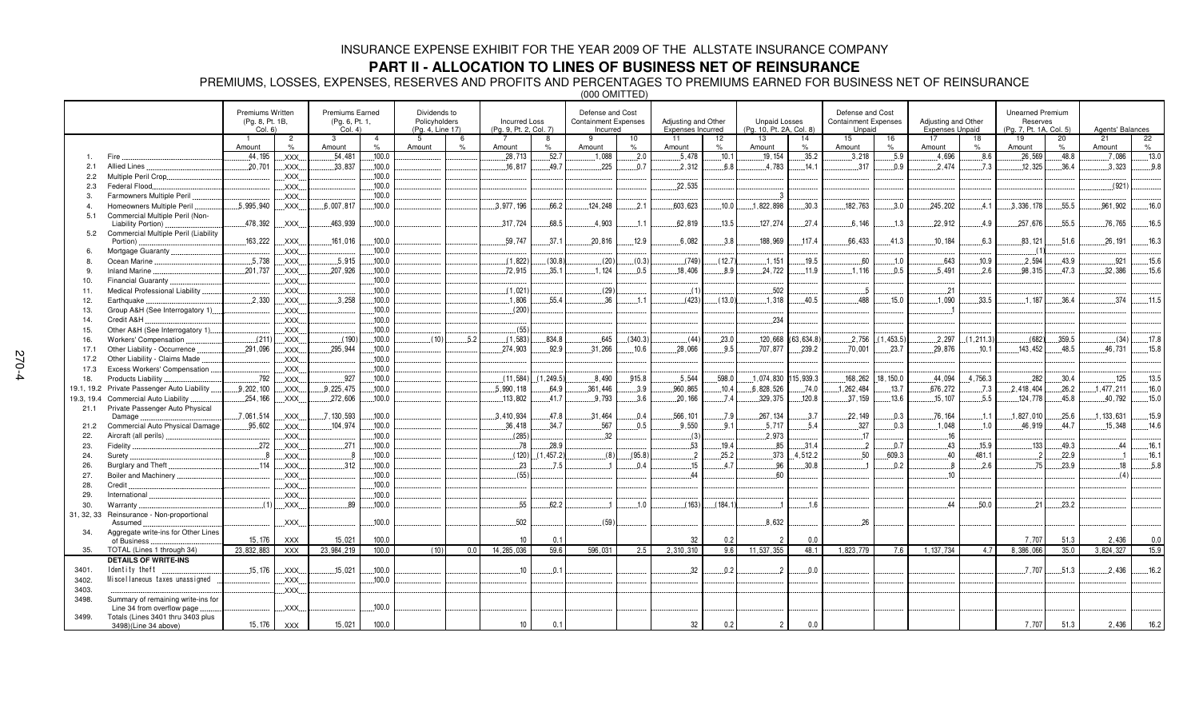#### **PART II - ALLOCATION TO LINES OF BUSINESS NET OF REINSURANCE**

PREMIUMS, LOSSES, EXPENSES, RESERVES AND PROFITS AND PERCENTAGES TO PREMIUMS EARNED FOR BUSINESS NET OF REINSURANCE

(000 OMITTED)

|            |                                                           | <b>Premiums Written</b><br>(Pg. 8, Pt. 1B,<br>Col. 6 |                        | <b>Premiums Earned</b><br>(Pg. 6, Pt. 1,<br>Col. 4) |                                 | Dividends to<br>Policyholders<br>(Pg. 4, Line 17) |                     | <b>Incurred Loss</b><br>(Pg. 9, Pt. 2, Col. 7) |                    | Defense and Cost<br><b>Containment Expenses</b><br>Incurred |                     | Adjusting and Other<br>Expenses Incurred |            | <b>Unpaid Losses</b><br>(Pg. 10, Pt. 2A, Col. 8) |             | Defense and Cost<br><b>Containment Expenses</b><br>Unpaid |            | Adjusting and Other<br><b>Expenses Unpaid</b> |            | <b>Unearned Premium</b><br>Reserves<br>(Pg. 7, Pt. 1A, Col. 5) |                     | Agents' Balances |            |
|------------|-----------------------------------------------------------|------------------------------------------------------|------------------------|-----------------------------------------------------|---------------------------------|---------------------------------------------------|---------------------|------------------------------------------------|--------------------|-------------------------------------------------------------|---------------------|------------------------------------------|------------|--------------------------------------------------|-------------|-----------------------------------------------------------|------------|-----------------------------------------------|------------|----------------------------------------------------------------|---------------------|------------------|------------|
|            |                                                           | $\blacksquare$<br>Amount                             | $\overline{2}$<br>$\%$ | 3<br>Amount                                         | $\overline{4}$<br>$\frac{9}{6}$ | 5<br>Amount                                       | -6<br>$\frac{1}{2}$ | $\overline{7}$<br>Amount                       | 8<br>$\frac{1}{2}$ | 9<br>Amount                                                 | 10<br>$\frac{1}{2}$ | 11<br>Amount                             | 12<br>$\%$ | 13<br>Amount                                     | 14<br>$\%$  | 15<br>Amount                                              | 16<br>$\%$ | 17<br>Amount                                  | 18<br>%    | 19<br>Amount                                                   | 20<br>$\frac{9}{6}$ | 21<br>Amount     | 22<br>$\%$ |
|            | Fire                                                      | 44.195                                               | XXX.                   | .54.481                                             | 100.0                           |                                                   |                     | 28.713                                         | 52.7               | .1.088                                                      | .2.0                | .5.478                                   | .10.1      | .19.154                                          | .35.2       | .3.218                                                    | .5.9       | .4.696                                        | .8.6       | .26,569                                                        | $-48.8$             | .7.086           | .13.0      |
| 2.1        | Allied Lines.                                             | .20,701                                              | XXX.                   | .33,837                                             | .100.0                          |                                                   |                     | .16, 817                                       | 49.7               | .225                                                        | 0.7                 | 2.312                                    | 6.8        | 4.783                                            | .14.1       | .317                                                      | 0.9        | 2.474                                         | 7.3        | .12,325                                                        | 36.4                | .3.323           | 9.8        |
| 2.2        | Multiple Peril Crop                                       |                                                      | XXX.                   |                                                     | .100.0                          |                                                   |                     |                                                |                    |                                                             |                     |                                          |            |                                                  |             |                                                           |            |                                               |            |                                                                |                     |                  |            |
| 2.3        | Federal Flood.                                            |                                                      | XXX.                   |                                                     | .100.0                          |                                                   |                     |                                                |                    |                                                             |                     | .22,535                                  |            |                                                  |             |                                                           |            |                                               |            |                                                                |                     | (921)            |            |
|            | Farmowners Multiple Peril                                 |                                                      | XXX.                   |                                                     | 100.0                           |                                                   |                     |                                                |                    |                                                             |                     |                                          |            | -3                                               |             |                                                           |            |                                               |            |                                                                |                     |                  |            |
| 4.         | Homeowners Multiple Peril                                 | 5,995,940                                            | XXX.                   | 6,007,817                                           | .100.0                          |                                                   |                     | 3,977,196                                      | 66.2               | 124,248                                                     | .2.1                | 603,623                                  | 10.0       | .1,822,898                                       | .30.3       | 182,763                                                   | 3.0        | 245,202                                       | .4.1       | .3,336,178                                                     | .55.5               | .961,902         | .16.0      |
| 5.1        | Commercial Multiple Peril (Non-                           |                                                      |                        |                                                     |                                 |                                                   |                     |                                                |                    |                                                             |                     |                                          |            |                                                  |             |                                                           |            |                                               |            |                                                                |                     |                  |            |
|            | Liability Portion).                                       | .478,392                                             | XXX.                   | 463.939                                             | .100.0                          |                                                   |                     | 317,724                                        | 68.5               | .4.903                                                      | 11                  | 62.819                                   | 13.5       | 127, 274                                         | .27.4       | 6.146                                                     | .13        | .22,912                                       | .4.9       | 257,676                                                        | .55.5               | .76,765          | .16.5      |
| 5.2        | Commercial Multiple Peril (Liability                      |                                                      |                        |                                                     |                                 |                                                   |                     |                                                |                    |                                                             |                     |                                          |            |                                                  |             |                                                           |            |                                               |            |                                                                |                     |                  |            |
|            | Portion)                                                  | .163,222                                             | XXX.                   | .161.016                                            | .100.0                          |                                                   |                     | .59.747                                        | .37.1              | .20,816                                                     | 12.9                | .6,082                                   | 3.8        | 188.969                                          | .117.4      | .66,433                                                   | .41.3      | .10,184                                       | .6.3       | .83,121                                                        | .51.6               | .26.191          | .16.3      |
|            | Mortgage Guaranty                                         |                                                      | XXX.                   |                                                     | .100.0                          |                                                   |                     |                                                |                    |                                                             |                     |                                          |            |                                                  |             |                                                           |            |                                               |            |                                                                |                     |                  |            |
|            | Ocean Marine                                              | .5,738                                               | XXX                    | .5.915                                              | .100.0                          |                                                   |                     | (1,822)                                        | (30.8)             | (20)                                                        | (0.3)               | (749)                                    | (12.7)     | .1,151                                           | .19.5       | .60                                                       | .1.0       | .643                                          | .10.9      | .2,594                                                         | .43.9               | .921             | .15.6      |
|            | <b>Inland Marine</b>                                      | .201,737                                             | XXX.                   | .207,926                                            | .100.0                          |                                                   |                     | .72,915                                        | 35.1               | .1.124                                                      | 0.5                 | .18,406                                  | .8.9       | 24,722                                           | .11.9       | .1,116                                                    | .0.5       | .5.491                                        | .2.6       | .98,315                                                        | .47.3               | .32,386          | .15.6      |
| 10.        | Financial Guaranty                                        |                                                      | XXX.                   |                                                     | .100.0                          |                                                   |                     |                                                |                    |                                                             |                     |                                          |            |                                                  |             |                                                           |            |                                               |            |                                                                |                     |                  |            |
| 11.        | Medical Professional Liability                            |                                                      | XXX.                   |                                                     | .100.0                          |                                                   |                     | (1,021)                                        |                    | (29)                                                        |                     | (1)                                      |            | .502                                             |             | . . 5                                                     |            | .21                                           |            |                                                                |                     |                  |            |
| 12.        | Earthquake                                                | 2.330                                                | XXX.                   | 3,258                                               | .100.0                          |                                                   |                     | .1,806                                         | 55.4               | 36                                                          | 1.1                 | (423)                                    | (13.0)     | 1.318                                            | 40.5        | .488                                                      | 15.0       | 1,090                                         | 33.5       | 1.187                                                          | 36.4                | 374              | .11.5      |
| 13.        | Group A&H (See Interrogatory 1)                           |                                                      | XXX.                   |                                                     | .100.0                          |                                                   |                     | (200)                                          |                    |                                                             |                     |                                          |            |                                                  |             |                                                           |            |                                               |            |                                                                |                     |                  |            |
| 14.        | Credit A&H                                                |                                                      | XXX.                   |                                                     | 100.0                           |                                                   |                     |                                                |                    |                                                             |                     |                                          |            | 234                                              |             |                                                           |            |                                               |            |                                                                |                     |                  |            |
| 15.        | Other A&H (See Interrogatory 1)                           |                                                      | XXX.                   |                                                     | .100.0                          |                                                   |                     | (55)                                           |                    |                                                             |                     |                                          |            |                                                  |             |                                                           |            |                                               |            |                                                                |                     |                  |            |
| 16.        | <b>Workers' Compensation</b>                              | (211)                                                | XXX                    | (190)                                               | .100.0                          | (10)                                              | .5.2                | (1, 583)                                       | 834.8              | .645                                                        | (340.3)             | (44)                                     | .23.0      | .120,668                                         | (63, 634.8) | .2,756                                                    | (1, 453.5) | 2,297                                         | (1, 211.3) | (682)                                                          | 359.5               | (34)             | .17.8      |
| 17.1       | Other Liability - Occurrence                              | .291,096                                             | XXX.                   | 295.944                                             | .100.0                          |                                                   |                     | 274,903                                        | 92.9               | .31,266                                                     | .10.6               | .28.066                                  | 9.5        | 707.877                                          | .239.2      | .70,001                                                   | .23.7      | .29.876                                       | .10.1      | 143.452                                                        | 48.5                | 46.731           | .15.8      |
| 17.2       | Other Liability - Claims Made                             |                                                      | XXX.                   |                                                     | .100.0                          |                                                   |                     |                                                |                    |                                                             |                     |                                          |            |                                                  |             |                                                           |            |                                               |            |                                                                |                     |                  |            |
| 17.3       | Excess Workers' Compensation                              |                                                      | XXX.                   |                                                     | ,100.0                          |                                                   |                     |                                                |                    |                                                             |                     |                                          |            |                                                  |             |                                                           |            |                                               |            |                                                                |                     |                  |            |
| 18.        | Products Liability                                        | .792                                                 | XXX.                   | .927                                                | .100.0                          |                                                   |                     | (11, 584)                                      | (1.249.5)          | .8,490                                                      | 915.8               | .5.544                                   | .598.0     | .1.074.830                                       | 115,939.3   | .168, 262                                                 | 18, 150.0  | .44,094                                       | .4,756.3   | .282                                                           | 30.4                | .125             | .13.5      |
| 19.1, 19.2 | Private Passenger Auto Liability                          | 9,202,100                                            | XXX.                   | .9.225.475                                          | .100.0                          |                                                   |                     | 5,990,118                                      | 64.9               | .361,446                                                    | 3.9                 | 960,865                                  | .10.4      | 6,828,526                                        | .74.0       | 1,262,484                                                 | .13.7      | .676,272                                      | .7.3       | 2,418,404                                                      | .26.2               | 1,477,211        | .16.0      |
| 19.3, 19.4 | Commercial Auto Liability                                 | .254,166                                             | XXX.                   | .272,606                                            | .100.0                          |                                                   |                     | .113,802                                       | 41.7               | .9.793                                                      | 3.6                 | .20.166                                  | 7.4        | .329,375                                         | .120.8      | .37.159                                                   | 13.6       | .15,107                                       | .5.5       | .124.778                                                       | 45.8                | .40,792          | .15.0      |
| 21.1       | Private Passenger Auto Physical                           |                                                      |                        |                                                     |                                 |                                                   |                     |                                                |                    |                                                             |                     |                                          |            |                                                  |             |                                                           |            |                                               |            |                                                                |                     |                  |            |
|            | Damage                                                    | 7.061.514                                            | XXX.                   | 7.130.593                                           | ,100.0                          |                                                   |                     | 3.410.934                                      | 47.8               | .31,464                                                     | 0.4                 | 566, 101                                 | .7.9       | 267, 134                                         | 3.7         | .22.149                                                   | .0.3       | .76,164                                       | .1.1       | ,827,010                                                       | 25.6                | 133,631          | 15.9       |
| 21.2       | Commercial Auto Physical Damage                           | .95,602                                              | XXX.                   | .104.974                                            | .100.0                          |                                                   |                     | .36.418                                        | 34.7               | .567                                                        | 0.5                 | 9.550                                    | 9.1        | .5.717                                           | 5.4         | .327                                                      | .0.3       | .1.048                                        | .1.0       | 46,919                                                         | .44.7               | .15.348          | .14.6      |
| 22.        | Aircraft (all perils).                                    |                                                      | XXX.                   |                                                     | ,100.0                          |                                                   |                     | (285)                                          |                    | .32                                                         |                     | (3)                                      |            | 2,973                                            |             | 17                                                        |            | .16                                           |            |                                                                |                     |                  |            |
| 23.        | Fidelity.                                                 | 272                                                  | XXX.                   | .271                                                | .100.0                          |                                                   |                     | .78                                            | 28.9               |                                                             |                     | .53                                      | 19.4       | .85                                              | .31.4       | $^{2}$                                                    | .0.7       | .43                                           | 15.9       | 133                                                            | 49.3                | 44               | .16.1      |
| 24.        | Surety                                                    | . 8                                                  | XXX.                   | $_{-8}$                                             | 100.0                           |                                                   |                     | (120)                                          | .457.2)            | (8)                                                         | (95.8)              | $^{2}$                                   | 25.2       | 373                                              | .4,512.2    | 50                                                        | 609.3      | $-40$                                         | 481.1      |                                                                | 22.9                |                  | .16.1      |
| 26.        | Burglary and Theft                                        | 114                                                  | XXX.                   | 312                                                 | 100.0                           |                                                   |                     | 23                                             | 7.5                |                                                             | 0.4                 | .15                                      | 4.7        | 96                                               | .30.8       |                                                           | 0.2        | $\boldsymbol{8}$                              | 2.6        | 75                                                             | 23.9                | .18              | .5.8       |
| 27.        | Boiler and Machinery.                                     |                                                      | XXX.                   |                                                     | 100.0                           |                                                   |                     | (55)                                           |                    |                                                             |                     | 44                                       |            | 60                                               |             |                                                           |            | 10                                            |            |                                                                |                     | (4)              |            |
| 28.        | Credit                                                    |                                                      | XXX.                   |                                                     | 100.0                           |                                                   |                     |                                                |                    |                                                             |                     |                                          |            |                                                  |             |                                                           |            |                                               |            |                                                                |                     |                  |            |
| 29.        | International                                             |                                                      | XXX                    |                                                     | 100.0                           |                                                   |                     |                                                |                    |                                                             |                     |                                          |            |                                                  |             |                                                           |            |                                               |            |                                                                |                     |                  |            |
| 30.        | Warranty                                                  | (1)                                                  | XXX.                   | .89                                                 | .100.0                          |                                                   |                     | .55                                            | 62.2               |                                                             | .1.0                | (163)                                    | (184.1)    |                                                  | 1.6         |                                                           |            | 44                                            | .50.0      | .21                                                            | .23.2               |                  |            |
| 31, 32, 33 | Reinsurance - Non-proportional<br>Assumed                 |                                                      | XXX.                   |                                                     | 100.0                           |                                                   |                     | 502                                            |                    | (59)                                                        |                     |                                          |            | 8,632                                            |             | 26                                                        |            |                                               |            |                                                                |                     |                  |            |
| 34.        | Aggregate write-ins for Other Lines<br>of Business        | 15.176                                               | <b>XXX</b>             | 15,021                                              | 100.0                           |                                                   |                     | 10 <sup>1</sup>                                | 0.1                |                                                             |                     | 32                                       | 0.2        | $\overline{2}$                                   | 0.0         |                                                           |            |                                               |            | 7.707                                                          | 51.3                | 2,436            | 0.0        |
| 35.        | TOTAL (Lines 1 through 34)                                | 23,832,883                                           | <b>XXX</b>             | 23,984,219                                          | 100.0                           | (10)                                              | 0.0                 | 14,285,036                                     | 59.6               | 596,031                                                     | 2.5                 | 2,310,310                                | 9.6        | 11,537,355                                       | 48.1        | 1,823,779                                                 | 7.6        | 1, 137, 734                                   | 4.7        | 8,386,066                                                      | 35.0                | 3,824,327        | 15.9       |
|            | <b>DETAILS OF WRITE-INS</b>                               |                                                      |                        |                                                     |                                 |                                                   |                     |                                                |                    |                                                             |                     |                                          |            |                                                  |             |                                                           |            |                                               |            |                                                                |                     |                  |            |
| 3401.      | Identity theft                                            | .15.176                                              | XXX.                   | .15,021                                             | .100.0                          |                                                   |                     | 10                                             | 0.1                |                                                             |                     | .32                                      | .0.2       |                                                  | 0.0         |                                                           |            |                                               |            | .7.707                                                         | .51.3               | .2.436           | .16.2      |
| 3402.      | Miscellaneous taxes unassigned                            |                                                      | XXX.                   |                                                     | .100.0                          |                                                   |                     |                                                |                    |                                                             |                     |                                          |            |                                                  |             |                                                           |            |                                               |            |                                                                |                     |                  |            |
| 3403.      |                                                           |                                                      | XXX.                   |                                                     |                                 |                                                   |                     |                                                |                    |                                                             |                     |                                          |            |                                                  |             |                                                           |            |                                               |            |                                                                |                     |                  |            |
| 3498.      | Summary of remaining write-ins for                        |                                                      |                        |                                                     |                                 |                                                   |                     |                                                |                    |                                                             |                     |                                          |            |                                                  |             |                                                           |            |                                               |            |                                                                |                     |                  |            |
|            | Line 34 from overflow page                                |                                                      | XXX.                   |                                                     | .100.0                          |                                                   |                     |                                                |                    |                                                             |                     |                                          |            |                                                  |             |                                                           |            |                                               |            |                                                                |                     |                  |            |
| 3499.      | Totals (Lines 3401 thru 3403 plus<br>3498)(Line 34 above) | 15, 176                                              | <b>XXX</b>             | 15,021                                              | 100.0                           |                                                   |                     | 10 <sup>°</sup>                                | 0.1                |                                                             |                     | 32                                       | 0.2        | $\overline{2}$                                   | 0.0         |                                                           |            |                                               |            | 7,707                                                          | 51.3                | 2,436            | 16.2       |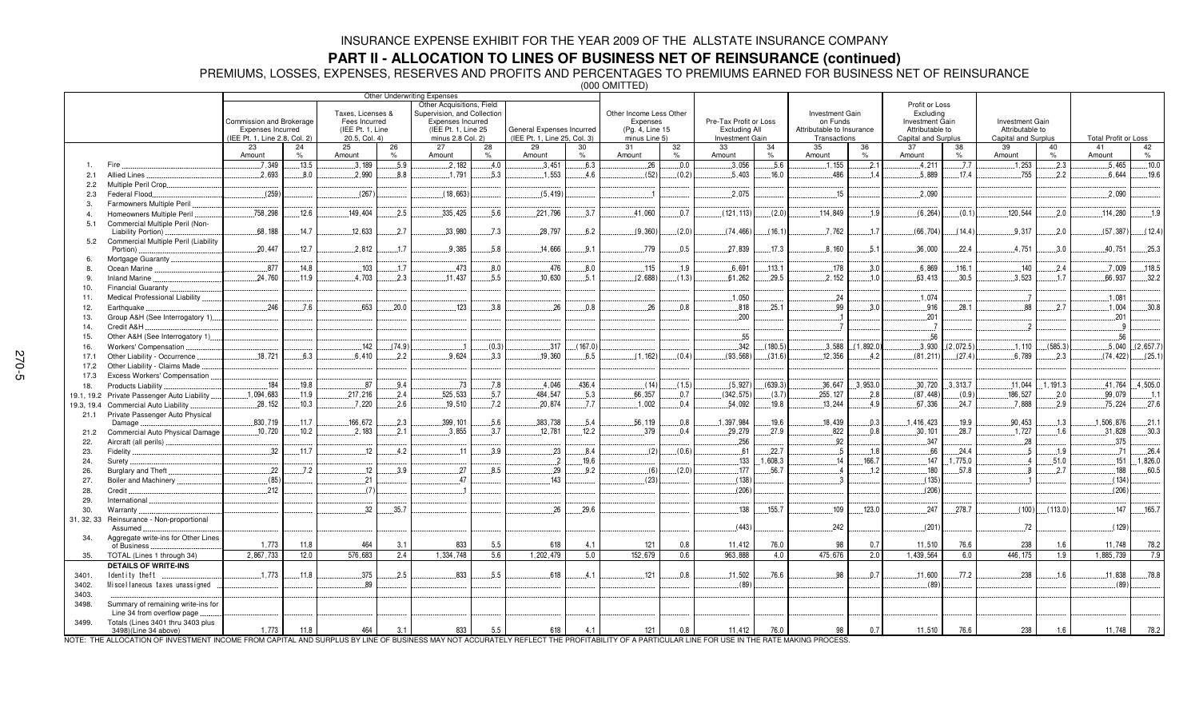### **PART II - ALLOCATION TO LINES OF BUSINESS NET OF REINSURANCE (continued)**

PREMIUMS, LOSSES, EXPENSES, RESERVES AND PROFITS AND PERCENTAGES TO PREMIUMS EARNED FOR BUSINESS NET OF REINSURANCE

(000 OMITTED)

|            |                                                                  |                               |       |                   |        | Other Underwriting Expenses                              |               |                              |         |                         |               |                        |         |                           |               |                             |               |                        |               |                             |           |
|------------|------------------------------------------------------------------|-------------------------------|-------|-------------------|--------|----------------------------------------------------------|---------------|------------------------------|---------|-------------------------|---------------|------------------------|---------|---------------------------|---------------|-----------------------------|---------------|------------------------|---------------|-----------------------------|-----------|
|            |                                                                  |                               |       | Taxes, Licenses & |        | Other Acquisitions, Field<br>Supervision, and Collection |               |                              |         | Other Income Less Other |               |                        |         | Investment Gain           |               | Profit or Loss<br>Excluding |               |                        |               |                             |           |
|            |                                                                  | Commission and Brokerage      |       | Fees Incurred     |        | Expenses Incurred                                        |               |                              |         | Expenses                |               | Pre-Tax Profit or Loss |         | on Funds                  |               | <b>Investment Gain</b>      |               | <b>Investment Gain</b> |               |                             |           |
|            |                                                                  | Expenses Incurred             |       | (IEE Pt. 1, Line  |        | (IEE Pt. 1, Line 25)                                     |               | General Expenses Incurred    |         | (Pg. 4, Line 15         |               | Excluding All          |         | Attributable to Insurance |               | Attributable to             |               | Attributable to        |               |                             |           |
|            |                                                                  | (IEE Pt. 1, Line 2.8, Col. 2) |       | 20.5, Col. 4)     |        | minus 2.8 Col. 2)                                        |               | (IEE Pt. 1. Line 25, Col. 3) |         | minus Line 5)           |               | <b>Investment Gain</b> |         | Transactions              |               | Capital and Surplus         |               | Capital and Surplus    |               | <b>Total Profit or Loss</b> |           |
|            |                                                                  | 23                            | 24    | 25                | 26     | 27                                                       | 28            | 29                           | 30      | 31                      | 32            | 33                     | 34      | 35                        | 36            | 37                          | 38            | 39                     | 40            | 41                          | 42        |
|            |                                                                  | Amount                        | $\%$  | Amount            | $\%$   | Amount                                                   | $\frac{1}{2}$ | Amount                       | $\%$    | Amount                  | $\frac{9}{6}$ | Amount                 | $\%$    | Amount                    | $O_{\Lambda}$ | Amount                      | $\frac{9}{6}$ | Amount                 | $\frac{9}{6}$ | Amount                      | $\%$      |
|            | Fire                                                             | 7,349                         | 13.5  | 3,189             | 5.9    | 2,182                                                    | 4.0           | 3,451                        | .6.3    | 26                      | 0.0           | .3,056                 | 5.6     | 1, 155                    | .2.1          | 4.211                       | 7.7           | 1,253                  | 2.3           | 5,465                       | 10.0      |
| 2.1        | <b>Allied Lines</b>                                              | .2.693                        | .8.0  | .2.990            | 8.8    | .1.791                                                   | .5.3          | 1.553                        | 4.6     | (52)                    | (0.2)         | .5.403                 | .16.0   | .486                      | 1.4           | .5,889                      | .17.4         | .755                   | 2.2           | 6.644                       | 19.6      |
| 2.2        | Multiple Peril Crop                                              |                               |       |                   |        |                                                          |               |                              |         |                         |               |                        |         |                           |               |                             |               |                        |               |                             |           |
| 2.3        | Federal Flood.                                                   | (259)                         |       | (267)             |        | (18, 663)                                                |               | (5, 419)                     |         |                         |               | .2.075                 |         | 15                        |               | .2.090                      |               |                        |               | .2,090                      |           |
| 3.         | Farmowners Multiple Peril                                        | .758,298                      | .12.6 | 149,404           | 2.5    | 335,425                                                  | .5.6          | .221,796                     | .3.7    | .41,060                 | 0.7           | (121, 113)             | (2.0)   | .114,849                  | .1.9          | (6, 264)                    | (0.1)         | 120,544                | .2.0          | .114,280                    | .1.9      |
| 4.<br>5.1  | Homeowners Multiple Peril<br>Commercial Multiple Peril (Non-     |                               |       |                   |        |                                                          |               |                              |         |                         |               |                        |         |                           |               |                             |               |                        |               |                             |           |
|            | Liability Portion)                                               | .68.188                       | .14.7 | .12,633           | .2.7   | .33,980                                                  | .7.3          | .28,797                      | .6.2    | (9,360)                 | (2.0)         | (74, 466)              | (16.1)  | .7,762                    | 1.7           | (66, 704)                   | (14.4)        | .9.317                 | .2.0          | (57, 387)                   | (12.4)    |
| 5.2        | Commercial Multiple Peril (Liability                             |                               |       |                   |        |                                                          |               |                              |         |                         |               |                        |         |                           |               |                             |               |                        |               |                             |           |
|            | Portion)                                                         | .20.447                       | .12.7 | .2,812            | .1.7   | .9,385                                                   | .5.8          | .14,666                      | .9.1    | 779                     | .0.5          | .27,839                | .17.3   | .8,160                    | .5.1          | .36,000                     | .22.4         | .4,751                 | 3.0           | .40,751                     | .25.3     |
| 6.         | Mortgage Guaranty.                                               |                               |       |                   |        |                                                          |               |                              |         |                         |               |                        |         |                           |               |                             |               |                        |               |                             |           |
| 8.         | Ocean Marine                                                     | 877                           | 14.8  | .103              | .1.7   | .473                                                     | .8.0          | .476                         | .8.0    | .115                    | .1.9          | .6.691                 | 113.1   | 178                       | 3.0           | .6,869                      | .116.1        | .140                   | .2.4          | .7.009                      | 118.5     |
| 9.         | Inland Marine                                                    | .24.760                       | .11.9 | 4,703             | .2.3   | .11.437                                                  | .5.5          | 10.630                       | .5.1    | (2,688)                 | (1.3)         | .61,262                | .29.5   | .2.152                    | 1.0           | .63,413                     | .30.5         | .3,523                 | 1.7           | .66,937                     | .32.2     |
| 10.        | Financial Guaranty                                               |                               |       |                   |        |                                                          |               |                              |         |                         |               |                        |         |                           |               |                             |               |                        |               |                             |           |
| 11.        | Medical Professional Liability                                   |                               |       |                   |        |                                                          |               |                              |         |                         |               | .1,050                 |         | .24                       |               | .1.074                      |               |                        |               | .1.081                      |           |
| 12.        | Earthquake.                                                      | 246                           | .7.6  | 653               | .20.0  | 123                                                      | 3.8           | 26                           | 0.8     | 26                      | 0.8           | 818                    | 25.1    | 99                        | 3.0           | 916                         | .28.1         | .88                    | 2.7           | .1,004                      | 30.8      |
| 13.        | Group A&H (See Interrogatory 1)                                  |                               |       |                   |        |                                                          |               |                              |         |                         |               | .200                   |         |                           |               | .201                        |               |                        |               | .201                        |           |
| 14.        | Credit A&H                                                       |                               |       |                   |        |                                                          |               |                              |         |                         |               |                        |         |                           |               |                             |               | 2                      |               |                             |           |
| 15.        | Other A&H (See Interrogatory 1)                                  |                               |       |                   |        |                                                          |               |                              |         |                         |               | .55                    |         |                           |               | .56                         |               |                        |               | .56                         |           |
| 16.        | Workers' Compensation                                            |                               |       | .142              | (74.9) |                                                          | (0.3)         | .317                         | (167.0) |                         |               | .342                   | (180.5) | .3.588                    | (1,892.0)     | .3,930                      | (2,072.5)     | .1,110                 | (585.3)       | .5,040                      | (2,657.7) |
| 17.1       | Other Liability - Occurrence                                     | .18,721                       | 6.3   | 6.410             | 2.2    | 9.624                                                    | .3.3          | 19.360                       | 6.5     | (1.162)                 | (0.4)         | (93, 568)              | (31.6)  | 12.356                    | 4.2           | (81, 211)                   | (27.4)        | 6.789                  | 2.3           | (74, 422)                   | (25.1)    |
| 17.2       | Other Liability - Claims Made                                    |                               |       |                   |        |                                                          |               |                              |         |                         |               |                        |         |                           |               |                             |               |                        |               |                             |           |
| 17.3       | Excess Workers' Compensation                                     |                               |       |                   |        |                                                          |               |                              |         |                         |               |                        |         |                           |               |                             |               |                        |               |                             |           |
| 18.        | Products Liability                                               | 184                           | .19.8 | .87               | 9.4    | 73                                                       | .7.8          | 4.046                        | 436.4   | (14)                    | (1.5)         | (5.927)                | (639.3) | .36,647                   | .3,953.0      | .30,720                     | .3.313.7      | .11,044                | 1,191.3       | .41,764                     | .4,505.0  |
| 19.1, 19.2 | Private Passenger Auto Liability.                                | .1,094,683                    | .11.9 | .217,216          | 2.4    | 525,533                                                  | .5.7          | 484.547                      | 5.3     | .66, 357                | 0.7           | (342, 575)             | (3.7)   | 255, 127                  | 2.8           | (87, 448)                   | (0.9)         | 186,527                | 2.0           | .99,079                     | 1.1       |
| 19.3, 19.4 | Commercial Auto Liability                                        | .28,152                       | 10.3  | .7.220            | .2.6   | .19,510                                                  | .7.2          | .20.874                      | .7.7    | .1,002                  | .0.4          | .54,092                | .19.8   | .13,244                   | 4.9           | .67,336                     | .24.7         | .7.888                 | .2.9          | .75,224                     | .27.6     |
| 21.1       | Private Passenger Auto Physical                                  | .830,719                      | .11.7 | 166,672           | 2.3    | 399, 101                                                 | .5.6          | 383,738                      | .5.4    | 56,119                  | 0.8           | 1,397,984              | 19.6    | 18,439                    | 0.3           | 1,416,423                   | 19.9          | 90,453                 | .1.3          | 1,506,876                   | .21.1     |
| 21.2       | Damage<br>Commercial Auto Physical Damage                        | 10,720                        | .10.2 | .2,183            | .2.1   | .3,855                                                   | .3.7          | .12,781                      | .12.2   | 379                     | .0.4          | .29,279                | .27.9   | .822                      | 0.8           | .30, 101                    | .28.7         | .1,727                 | .1.6          | .31,828                     | .30.3     |
| 22.        | Aircraft (all perils)                                            |                               |       |                   |        |                                                          |               |                              |         |                         |               | .256                   |         | .92                       |               | .347                        |               | .28                    |               | .375                        |           |
| 23.        | Fidelity                                                         | .32                           | .11.7 | .12               | 4.2    | .11                                                      | .3.9          | .23                          | 8.4     | (2)                     | (0.6)         | .61                    | .22.7   | 5                         | .1.8          | .66                         | .24.4         | 5                      | 1.9           | 71                          | .26.4     |
| 24.        | Surety                                                           |                               |       |                   |        |                                                          |               | $\overline{2}$               | 19.6    |                         |               | .133                   | 1,608.3 | 14                        | 166.7         | 147                         | .775.0        |                        | 51.0          | 151                         | 1,826.0   |
| 26.        | Burglary and Theft                                               | .22                           | .7.2  | .12               | 3.9    | 27                                                       | .8.5          | .29                          | .9.2    | (6)                     | (2.0)         | .177                   | 56.7    |                           | 1.2           | 180                         | .57.8         |                        | .2.7          | 188                         | .60.5     |
| 27.        | Boiler and Machinery                                             | (85)                          |       | 21                |        | 47                                                       |               | 143                          |         | (23)                    |               | (138)                  |         |                           |               | (135)                       |               |                        |               | (134)                       |           |
| 28.        | Credit                                                           | 212                           |       | (7)               |        |                                                          |               |                              |         |                         |               | (206)                  |         |                           |               | (206)                       |               |                        |               | (206)                       |           |
| 29.        | International                                                    |                               |       |                   |        |                                                          |               |                              |         |                         |               |                        |         |                           |               |                             |               |                        |               |                             |           |
| 30.        | Warranty                                                         |                               |       | 32                | .35.7  |                                                          |               | 26                           | .29.6   |                         |               | 138                    | 155.7   | .109                      | 123.0         | .247                        | .278.7        | (100)                  | (113.0)       | 147                         | 165.7     |
| 31, 32, 33 | Reinsurance - Non-proportional                                   |                               |       |                   |        |                                                          |               |                              |         |                         |               |                        |         |                           |               |                             |               |                        |               |                             |           |
|            | Assumed                                                          |                               |       |                   |        |                                                          |               |                              |         |                         |               | (443)                  |         | 242                       |               | (201)                       |               | .72                    |               | (129)                       |           |
| 34.        | Aggregate write-ins for Other Lines                              |                               |       |                   |        |                                                          |               |                              |         |                         |               |                        |         |                           |               |                             |               |                        |               |                             |           |
|            | of Business                                                      | 1,773                         | 11.8  | 464               | 3.1    | 833                                                      | 5.5           | 618                          | 4.1     | 121                     | 0.8           | 11,412                 | 76.0    | 98                        | 0.7           | 11,510                      | 76.6          | 238                    | 1.6           | 11,748                      | 78.2      |
| 35.        | TOTAL (Lines 1 through 34)                                       | 2,867,733                     | 12.0  | 576.683           | 2.4    | 1,334,748                                                | 5.6           | 1,202,479                    | 5.0     | 152.679                 | 0.6           | 963.888                | 4.0     | 475,676                   | 2.0           | 1,439,564                   | 6.0           | 446.175                | 1.9           | 1,885,739                   | 7.9       |
|            | <b>DETAILS OF WRITE-INS</b>                                      |                               |       |                   |        |                                                          |               |                              |         |                         |               |                        |         |                           |               |                             |               |                        |               |                             |           |
| 3401.      | Identity theft                                                   | .1.773                        | .11.8 | .375              | .2.5   | .833                                                     | .5.5          | 618                          | .4.1    | .121                    | 0.8           | .11.502                | .76.6   | 98                        | 0.7           | .11.600                     | .77.2         | .238                   | .1.6          | .11,838                     | .78.8     |
| 3402.      | Miscellaneous taxes unassigned                                   |                               |       | .89               |        |                                                          |               |                              |         |                         |               | (89)                   |         |                           |               | (89)                        |               |                        |               | (89)                        |           |
| 3403.      |                                                                  |                               |       |                   |        |                                                          |               |                              |         |                         |               |                        |         |                           |               |                             |               |                        |               |                             |           |
| 3498.      | Summary of remaining write-ins for<br>Line 34 from overflow page |                               |       |                   |        |                                                          |               |                              |         |                         |               |                        |         |                           |               |                             |               |                        |               |                             |           |
| 3499.      | Totals (Lines 3401 thru 3403 plus                                |                               |       |                   |        |                                                          |               |                              |         |                         |               |                        |         |                           |               |                             |               |                        |               |                             |           |
|            | 3498)(Line 34 above)                                             | 1.773                         | 11.8  | 464               | 3.1    | 833                                                      | 5.5           | 618                          | 4.1     | 121                     | 0.8           | 11.412                 | 76.0    | 98                        | 0.7           | 11.510                      | 76.6          | 238                    | 1.6           | 11.748                      | 78.2      |

NOTE: THE ALLOCATION OF INVESTMENT INCOME FROM CAPITAL AND SURPLUS BY LINE OF BUSINESS MAY NOT ACCURATELY REFLECT THE PROFITABILITY OF A PARTICULAR LINE FOR USE IN THE RATE MAKING PROCESS.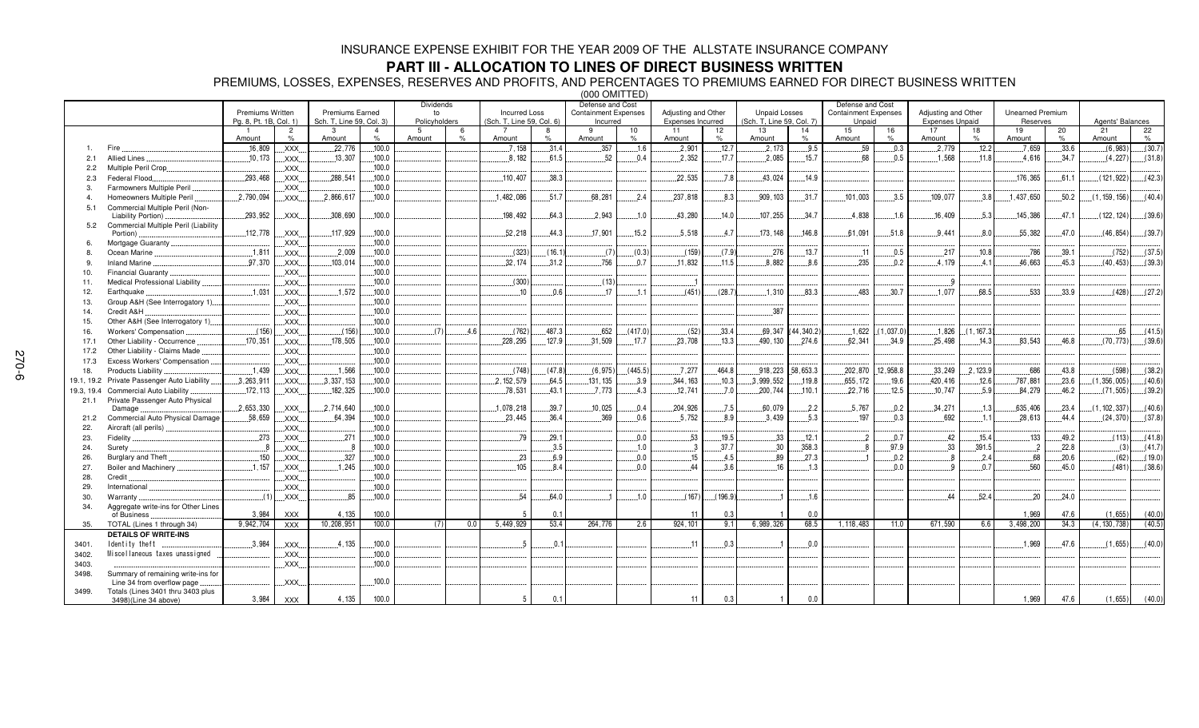#### **PART III - ALLOCATION TO LINES OF DIRECT BUSINESS WRITTEN**

PREMIUMS, LOSSES, EXPENSES, RESERVES AND PROFITS, AND PERCENTAGES TO PREMIUMS EARNED FOR DIRECT BUSINESS WRITTEN

(000 OMITTED) Premiums Written Pg. 8, Pt. 1B, Col. 1) Premiums Earned Sch. T, Line 59, Col. 3) Dividendsto Policyholders Incurred Loss (Sch. T, Line 59, Col. 6) Defense and Cost Containment Expenses IncurredAdjusting and Other Expenses Incurred Unpaid Losses (Sch. T, Line 59, Col. 7) Defense and Cost Containment Expenses **Unpaid** Adjusting and Other Expenses Unpaid Unearned PremiumReservesAgents' Balances 1 Amount 2 %809 ... XXX 3 Amount4 % $6$  .......100.0 5 Amount %7 Amount 8% $31.4$ 9 Amount 10%11 Amount 12% $12.7$ 13 Amount 14 %15 Amount 16 %17 Amount 18 %19 Amount 20 % $9 \quad 33.6$  $21$  Amount 22 % $(30.7)$ 1. Fire - $22,776$  $.7.158$  $.357$  $.1.6$  $2,90$  $2,173$  $.9.5$ .59  $.0.3$  $.2.779$  $12.2$  - $(6.983)$ 2.1 Allied Lines  XXX $.13,307$  $100.0$  $.8.182$ 1.5  $.2,352$  $.17.7$  $.2,085$  $.15.7$ 7 L..................68 8 L........0.5 - --6 L.......34.7  $(4,227)$  $(31.8)$ 2.2 Multiple Peril Crop XXX  $.100.0$ 2.3Federal Flood... .293,468 XXX $.288,541$  $.100.0$  $.110.407$  $.38.3$  $.22,535$  $.7.8$  $.43,024$  $.14.9$  -.365 -  $(121, 922)$  $(42.3)$ 3. Farmowners Multiple Peril XXX  $.100.0$  $7 \dots 100.0$ 4. Homeowners Multiple Peril XXX -6,617  $.1.482.086$ 6 L........51.7 .2................68,281 ...........2  $.2.4$  $.237.818$  $.8.3$ 909.103  $.31.7$  $.101.003$  $3.5$  $.109.077$  $38$ 8 ........1, 437, 650 0 L......50.2  $(1.159.156$  $|... (40.4)$ 5.1 Commercial Multiple Peril (Non-Liability Portion)  XXX -,308,690 198,492 4.3  $.2.943$  $.1.0$ 43,280  $14.0$ 107,255  $.34.7$ 4,838  $.1.6$  - 5.3 145,386 6 L.......47.1  $(122, 124)$ 6) 5.2 Commercial Multiple Peril (Liability Portion) XXX  $.100.0$ .52,218  $.44.3$  $.17.901$  $.15.2$  $.5.518$  ..........4. 7 173, 148 .8 -  $.51.8$  $.9.441$  $8.0$ 55,382  $.47.0$  -   $(39.7)$ 6. Mortgage Guaranty XXX  $.100.0$  $\overline{0}$ 8. Ocean Marine XXX $\overline{\text{XXX}}$  2.009  - $(16.$  $(7)$   $(0.3)$  $(159)$   $(7.9)$ 276 6 L.......13.7  $0.5$ 217  $10.8$ 786  $(752)$  $(37.5)$ 9. Inland Marine  XXX $\mathsf{XXX}$  .............103,014  $100.0$ 32.174  $31.2$ 756 6 L........0.7  $.11,832$ 11.5 8.882  $8.6$ 235  $0.2$  $.4.179$  ...........4. 1 1 .............46,663 3 L.......45.3  $(40, 453)$  $(39.3)$ 10. Financial Guaranty XXX  $100.0$  $\overline{0}$ 11. Medical Professional Liability XXX 12. Earthquake  XXX  $.100.0$   $0.6$  $17$  $.1.1$  $(451)$ .......(28.  $.1.310$  $.83.3$ .483  $.30.7$  $.1.077$ 8.5 .533  $.33.9$  $(428)$  $(27.2)$ 13.Group A&H (See Interrogatory 1).  $.100.0$  14. Credit A&H XXX 15. Other A&H (See Interrogatory 1) XXX  $.100.0$  $\frac{1}{100.0}$ 16. Workers'Compensation - XXX.......(156<br>..178.505 4 F  $(762)$  - $(417.0)$  $(52)$  $.33.4$ .69.347 44 340 2 - $(1.037.0)$  $.1,826$ 6 L. (1,167.  -65 17.1 Other Liability - Occurrence  XXX  $.100.0$ 228.295 127.9  $.31.509$  $.17.7$  $.23.708$  $.13.3$ 490.130 274.6 -   $.34.9$  $25.498$  $.14.3$ 83.543 .8  $(70.773)$ 6) 17.2 Other Liability - Claims Made XXX  $.100.0$ 17.3 Excess Workers'Compensation XXX  $.100.0$ 18. Products Liability  XXX - $.1,566$ 6 L......100.0  $(47.8)$   $(6.975)$  $(445.5)$  $7.277$ 4.8 918.223 53.3 202.870 12 958 8 33.249 2.123.9 --6 L.......43.8  $(598$  $(38.2)$ 19.1, 19.2 Private Passenger Auto Liability ..... 3, 263, 911  XXX $3.337.153$  $100.0$  $2.152.579$ 4.5  $131.135$  $3.9$ 9 L………344, 163 3 L........10.3 3.999.552 119.8 -  $.19.6$ 420.416 -787.881 23.6 6 L…..(1,356,005)L…..(40. 6) 19.3, 19.4 Commercial Auto Liability  XXX   $100.0$  $.78,531$ 43.1  $.7,773$ 4.3  $.12,741$  $.7.0$ .200,744  $110.1$  $.22,716$ 6 L.......12.5  $.10,747$ 5.9 84,279 .2  $...(71,505)$  $(39.2)$ 21.1 Private Passenger Auto Physical Damage ...  $2.653.330$  XXX X.... L.......2,714,640 1.078.218  $39.7$  $.10.025$  $0<sub>4</sub>$ 204.926 -  $-2.2$  - 7 L........0.2 34.271  $1$ : -
-6 L.......23.4  $(1.102.337)$ 6) 21.2Commercial Auto Physical Damage 58 659 XXX -  $100<sub>0</sub>$ 23 445 .4 - -5 752 89  $3.439$  $5.3$ 197  $0<sub>3</sub>$  - $\overline{1}$ 1 1 .............28,613  $(24, 370)$  $(37.8)$ 22. Aircraft (all perils) XXX  $.100.0$  $\overline{0}$ 23. Fidelity  XXX  $.29.$   $0.0$   $19.5$ 33  $12.1$   $0<sub>7</sub>$   $.133$ 49.2  $(113)$  $(41.8)$ 24. Surety XXX  $100.0$   $3.5$   $10$  30 358 3 26. Burglary and Theft XXX   $100.0$   -.9  $0.0$  4.5 89  $27.3$   $2.4$  - - $(62)$ 2) [……( 19.0) 27. Boiler and Machinery XXX  $100.0$   $.8.4$   $0.0$   $3.6$ 16 6 L.........1.3 3 L..................... L.........0.0  $0.$  -0 L......45.0  $(481)$ 6) 28. Credit XXX 29. International XXXö 30. Warranty XXX -4.0  $1.0$  $(167)$ 7) ......(196. -  $52.4$  $.20$  $.24.0$ 34. Aggregate write-ins for Other Lines of Business  XXX  100.0 1 1 | 11 0.  $0.3$ 3 | 1 | 0.  $0.0$ 0 | | | | | | | | | 1,96 1.969 9 47.6  $(1.655)$ 55)| (40.0) 35.. TOTAL (Lines 1 through 34) 9,942,704 | XXX 10,208,951 | 100.  $100.0$  $0 \qquad \qquad (7) \qquad \qquad 0.$  $0<sub>0</sub>$ 5.449.929  $53.4$ 4 264,776 6 2.6 924 101 1 6 6.989.326 6 68.5 1 118 483  $11.0$ 0 671,590 6 6. 3.498.200  $34.3$  $(4.130.738)$  $(40.5)$ **DETAILS OF WRITE-INS** 3401.  XXX   $.100.0$  1  $.0.$ 0 -1,969 - $(1,655)$  3402. ! XXX  $.100.0$  3403. XXX3498. Summary of remaining write-ins for Line 34 from overflow page XXX  $.100.0$ 3499. Totals (Lines 3401 thru 3403 plus 3498)(Line 34 above) 3.984 XXX 4.135  $100.0$   $0.1$ 1 | 11 0.  $0.3$ 3 | 1 | 0.  $0.0$ 0 | | | | | | | | | | 1,96 1.969 9 47.6  $(1.655)$ 55)| (40.0)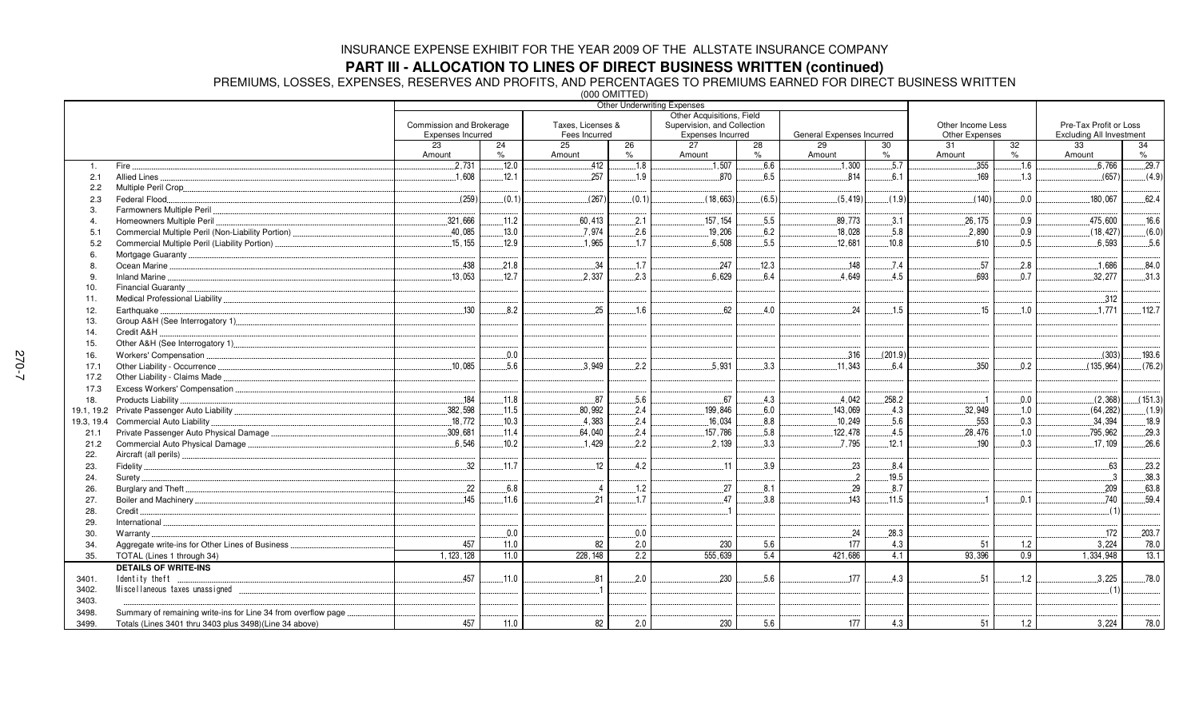#### **PART III - ALLOCATION TO LINES OF DIRECT BUSINESS WRITTEN (continued)**

PREMIUMS, LOSSES, EXPENSES, RESERVES AND PROFITS, AND PERCENTAGES TO PREMIUMS EARNED FOR DIRECT BUSINESS WRITTEN

(000 OMITTED)

|                |                                                               |                          |                     | $1000$ VIIII I LUI |                  | <b>Other Underwriting Expenses</b> |                     |                           |              |                   |            |                                 |            |
|----------------|---------------------------------------------------------------|--------------------------|---------------------|--------------------|------------------|------------------------------------|---------------------|---------------------------|--------------|-------------------|------------|---------------------------------|------------|
|                |                                                               |                          |                     |                    |                  | Other Acquisitions, Field          |                     |                           |              |                   |            |                                 |            |
|                |                                                               | Commission and Brokerage |                     | Taxes, Licenses &  |                  | Supervision, and Collection        |                     |                           |              | Other Income Less |            | Pre-Tax Profit or Loss          |            |
|                |                                                               | Expenses Incurred        |                     | Fees Incurred      |                  | Expenses Incurred                  |                     | General Expenses Incurred |              | Other Expenses    |            | <b>Excluding All Investment</b> |            |
|                |                                                               | 23                       | 24<br>$\frac{9}{6}$ | 25                 | 26<br>$\%$       | 27                                 | 28<br>$\frac{9}{6}$ | 29                        | 30           | 31                | 32<br>$\%$ | 33                              | 34<br>$\%$ |
|                |                                                               | Amount<br>.2,731         | .12.0               | Amount<br>.412     | .18              | Amount<br>.1,507                   | 6.6                 | Amount<br>.1,300          | $\%$<br>.5.7 | Amount<br>.355    | .16        | Amount<br>6,766                 | .29.7      |
| $\mathbf{1}$ . | Fire.<br>Allied Lines                                         | .1.608                   | 12.1                | 257                | 1.9              | 870                                | 6.5                 | 814                       | 6.1          | .169              | 1.3        | (657)                           | (4.9)      |
| 2.1<br>2.2     |                                                               |                          |                     |                    |                  |                                    |                     |                           |              |                   |            |                                 |            |
| 2.3            | Federal Flood                                                 | (259)                    | (0.1)               | (267)              | (0.1)            | (18,663)                           | (6.5)               | (5, 419)                  | (1.9)        | (140)             | 0.0        | 180.067                         | 62.4       |
| 3.             | Farmowners Multiple Peril                                     |                          |                     |                    |                  |                                    |                     |                           |              |                   |            |                                 |            |
|                | Homeowners Multiple Peril                                     | 321.666                  | .11.2               | 60.413             | 2.1              | 157, 154                           | 5.5                 | 89.773                    | 3.1          | .26, 175          | 0.9        | 475.600                         | 16.6       |
| 5.1            |                                                               | .40,085                  | .13.0               | .7,974             | .2.6             | .19,206                            | 6.2                 | .18,028                   | .5.8         | .2,890            | 0.9        | (18, 427)                       | (6.0)      |
| 5.2            | Commercial Multiple Peril (Liability Portion)                 | .15,155                  | .12.9               | .1,965             | .1.7             | .6,508                             | .5.5                | .12,681                   | .10.8        | .610              | .0.5       | .6,593                          | .5.6       |
| 6.             |                                                               |                          |                     |                    |                  |                                    |                     |                           |              |                   |            |                                 |            |
| 8              |                                                               | .438                     | .21.8               | .34                | .1.7             | .247                               | 12.3                | .148                      | .7.4         | .57               | .2.8       | .1,686                          | .84.0      |
| 9              |                                                               | 13,053                   | 12.7                | 2.337              | 2.3              | 6.629                              | 6.4                 | .4,649                    | 4.5          | 693               | 0.7        | .32,277                         | .31.3      |
| 10.            |                                                               |                          |                     |                    |                  |                                    |                     |                           |              |                   |            |                                 |            |
| 11.            |                                                               |                          |                     |                    |                  |                                    |                     |                           |              |                   |            | .312                            |            |
| 12.            | Earthquake.                                                   | .130                     | 8.2                 | .25                | 1.6              | 62                                 | 4.0                 | 24                        | .1.5         | 15                | .1.0       | .1.771                          | .112.7     |
| 13.            |                                                               |                          |                     |                    |                  |                                    |                     |                           |              |                   |            |                                 |            |
| 14.            | Credit A&H                                                    |                          |                     |                    |                  |                                    |                     |                           |              |                   |            |                                 |            |
| 15.            |                                                               |                          |                     |                    |                  |                                    |                     |                           |              |                   |            |                                 |            |
| 16.            | Workers' Compensation                                         |                          | 0.0                 |                    |                  |                                    |                     | .316                      | (201.9)      |                   |            | (303)                           | .193.6     |
| 17.1           | Other Liability - Occurrence                                  | .10,085                  | .5.6                | .3.949             | 2.2              | .5,931                             | 3.3                 | .11,343                   | 6.4          | .350              | 0.2        | (135, 964)                      | (76.2)     |
| 17.2           | Other Liability - Claims Made                                 |                          |                     |                    |                  |                                    |                     |                           |              |                   |            |                                 |            |
| 17.3           |                                                               |                          |                     |                    |                  |                                    |                     |                           |              |                   |            |                                 |            |
| 18.            | Products Liability                                            | $184$                    | $.11.8$             | .87                | 5.6              | .67                                | 4.3                 | 4,042                     | .258.2       |                   | 0.0        | (2,368)                         | (151.3)    |
|                |                                                               | .382,598                 | .11.5               | 80.992             | .2.4             | .199,846                           | 6.0                 | .143,069                  | 4.3          | .32,949           | .1.0       | (64, 282)                       | (1.9)      |
|                | 19.3, 19.4 Commercial Auto Liability                          | .18,772                  | .10.3               | 4.383              | .2.4             | .16,034                            | .8.8                | .10,249                   | .5.6         | .553              | 0.3        | .34.394                         | .18.9      |
| 21.1           |                                                               | .309,681                 | .11.4               | .64,040            | 2.4              | 157,786                            | .5.8                | .122,478                  | .4.5         | .28,476           | 1.0        | .795,962                        | 29.3       |
| 21.2           | Commercial Auto Physical Damage                               | .6,546                   | .10.2               | 1.429              | .2.2             | .2,139                             | 3.3                 | .7,795                    | .12.1        | 190               | 0.3        | .17,109                         | .26.6      |
| 22.            |                                                               |                          |                     |                    |                  |                                    |                     |                           |              |                   |            |                                 |            |
| 23.            |                                                               | .32                      | .11.7               | .12                | 4.2              | 11                                 | 3.9                 | $-23$                     | 8.4          |                   |            | 63                              | .23.2      |
| 24.            | Surety                                                        |                          |                     |                    |                  |                                    |                     | $\overline{2}$            | .19.5        |                   |            | $\cdot$ 3                       | .38.3      |
| 26.            |                                                               | .22                      | 6.8                 | $\overline{4}$     | .1.2             | .27                                | .8.1                | .29                       | .8.7         |                   |            | .209                            | 63.8       |
| 27.            |                                                               | .145                     | .11.6               | 21                 | .1.7             | 47                                 | .3.8                | .143                      | .11.5        |                   | .0.1       | .740                            | .59.4      |
| 28.            | Credit.                                                       |                          |                     |                    |                  |                                    |                     |                           |              |                   |            | (1)                             |            |
| 29.            |                                                               |                          |                     |                    |                  |                                    |                     |                           |              |                   |            |                                 |            |
| 30.            | Warranty.                                                     |                          | 0.0                 |                    | .0.0             |                                    |                     | .24                       | .28.3        |                   |            | .172                            | .203.7     |
| 34.            |                                                               | 457                      | 11.0                | 82                 | 2.0              | 230                                | 5.6                 | 177                       | 4.3          | 51                | 1.2        | 3,224                           | 78.0       |
| 35.            | TOTAL (Lines 1 through 34)                                    | 1, 123, 128              | 11.0                | 228, 148           | $\overline{2.2}$ | 555,639                            | 5.4                 | 421,686                   | 4.1          | 93,396            | 0.9        | 1,334,948                       | 13.1       |
|                | <b>DETAILS OF WRITE-INS</b>                                   |                          |                     |                    |                  |                                    |                     |                           |              |                   |            |                                 |            |
| 3401.          | Identity theft                                                | .457                     | .11.0               | 81                 | .2.0             | .230                               | .5.6                | 177                       | 4.3          | .51               | .1.2       | .3,225                          | .78.0      |
| 3402.          |                                                               |                          |                     |                    |                  |                                    |                     |                           |              |                   |            | (1)                             |            |
| 3403.          |                                                               |                          |                     |                    |                  |                                    |                     |                           |              |                   |            |                                 |            |
| 3498.          | Summary of remaining write-ins for Line 34 from overflow page |                          |                     |                    |                  |                                    |                     |                           |              |                   |            |                                 |            |
| 3499.          | Totals (Lines 3401 thru 3403 plus 3498)(Line 34 above)        | 457                      | 11.0                | 82                 | 2.0              | 230                                | 5.6                 | 177                       | 4.3          | 51                | 1.2        | 3.224                           | 78.0       |
|                |                                                               |                          |                     |                    |                  |                                    |                     |                           |              |                   |            |                                 |            |